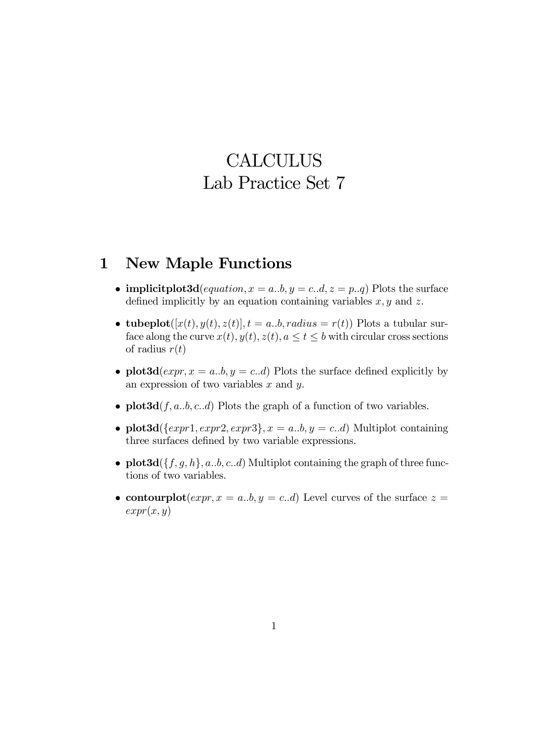# **CALCULUS** Lab Practice Set 7

### 1 New Maple Functions

- implicit plot 3d (*equation*,  $x = a,b$ ,  $y = c.d$ ,  $z = p.d$ ) Plots the surface defined implicitly by an equation containing variables  $x, y$  and  $z$ .
- tubeplot([x(t), y(t), z(t)],  $t = a..b, radius = r(t)$ ) Plots a tubular surface along the curve  $x(t)$ ,  $y(t)$ ,  $z(t)$ ,  $a \le t \le b$  with circular cross sections of radius  $r(t)$
- plot 3d  $(expr, x = a..b, y = c..d)$  Plots the surface defined explicitly by an expression of two variables  $x$  and  $y$ .
- plot  $3d(f, a, b, c, d)$  Plots the graph of a function of two variables.
- plot3d( $\{expr1, expr2, expr3\}, x = a..b, y = c..d$ ) Multiplot containing three surfaces defined by two variable expressions.
- plot  $3d({f, g, h}, a.b, c.d)$  Multiplot containing the graph of three functions of two variables.
- contourplot $(exp, x = a..b, y = c..d)$  Level curves of the surface  $z =$  $expr(x, y)$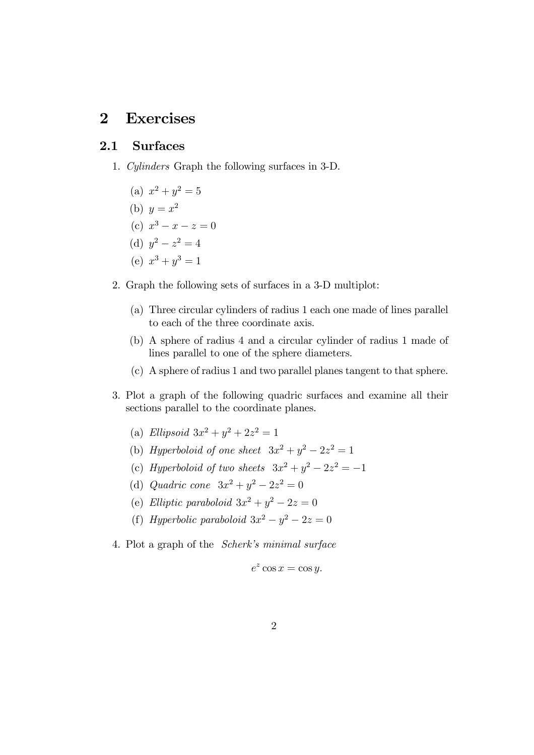## 2 Exercises

#### 2.1 Surfaces

- 1. Cylinders Graph the following surfaces in 3-D.
	- (a)  $x^2 + y^2 = 5$
	- (b)  $y = x^2$
	- (c)  $x^3 x z = 0$
	- (d)  $y^2 z^2 = 4$
	- (e)  $x^3 + y^3 = 1$
- 2. Graph the following sets of surfaces in a 3-D multiplot:
	- (a) Three circular cylinders of radius 1 each one made of lines parallel to each of the three coordinate axis.
	- (b) A sphere of radius 4 and a circular cylinder of radius 1 made of lines parallel to one of the sphere diameters.
	- (c) A sphere of radius 1 and two parallel planes tangent to that sphere.
- 3. Plot a graph of the following quadric surfaces and examine all their sections parallel to the coordinate planes.
	- (a) Ellipsoid  $3x^2 + y^2 + 2z^2 = 1$
	- (b) Hyperboloid of one sheet  $3x^2 + y^2 2z^2 = 1$
	- (c) Hyperboloid of two sheets  $3x^2 + y^2 2z^2 = -1$
	- (d) *Quadric cone*  $3x^2 + y^2 2z^2 = 0$
	- (e) Elliptic paraboloid  $3x^2 + y^2 2z = 0$
	- (f) Hyperbolic paraboloid  $3x^2 y^2 2z = 0$
- 4. Plot a graph of the Scherk's minimal surface

$$
e^z \cos x = \cos y.
$$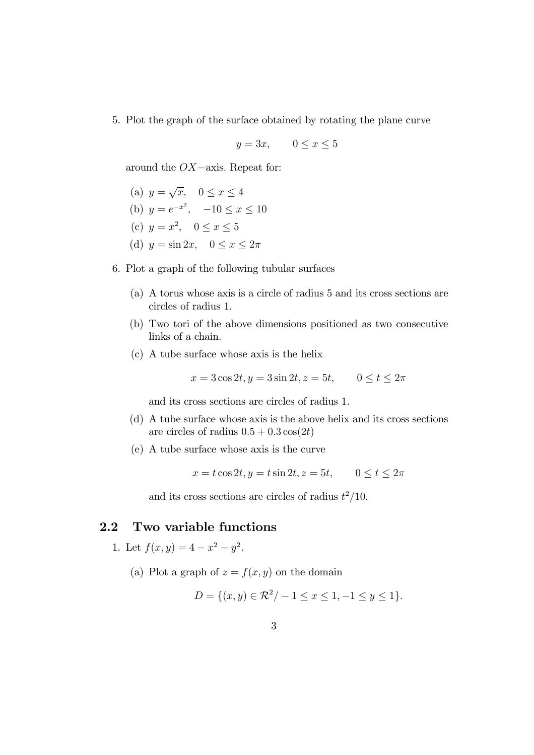5. Plot the graph of the surface obtained by rotating the plane curve

$$
y = 3x, \qquad 0 \le x \le 5
$$

around the OX−axis. Repeat for:

- (a)  $y = \sqrt{x}$ ,  $0 \le x \le 4$
- (b)  $y = e^{-x^2}$ ,  $-10 \le x \le 10$
- (c)  $y = x^2$ ,  $0 \le x \le 5$
- (d)  $y = \sin 2x$ ,  $0 \le x \le 2\pi$
- 6. Plot a graph of the following tubular surfaces
	- (a) A torus whose axis is a circle of radius 5 and its cross sections are circles of radius 1.
	- (b) Two tori of the above dimensions positioned as two consecutive links of a chain.
	- (c) A tube surface whose axis is the helix

$$
x = 3\cos 2t, y = 3\sin 2t, z = 5t, \qquad 0 \le t \le 2\pi
$$

and its cross sections are circles of radius 1.

- (d) A tube surface whose axis is the above helix and its cross sections are circles of radius  $0.5+0.3\cos(2t)$
- (e) A tube surface whose axis is the curve

$$
x = t\cos 2t, y = t\sin 2t, z = 5t, \qquad 0 \le t \le 2\pi
$$

and its cross sections are circles of radius  $t^2/10$ .

#### 2.2 Two variable functions

- 1. Let  $f(x, y) = 4 x^2 y^2$ .
	- (a) Plot a graph of  $z = f(x, y)$  on the domain

$$
D = \{(x, y) \in \mathcal{R}^2 / -1 \le x \le 1, -1 \le y \le 1\}.
$$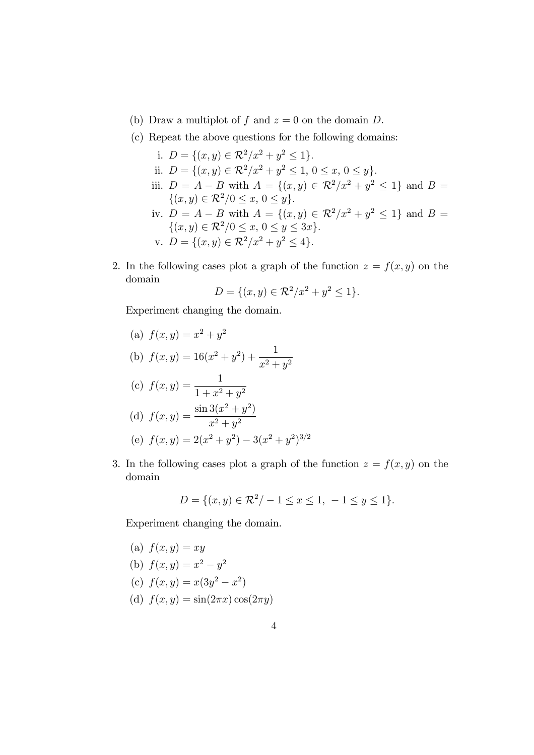- (b) Draw a multiplot of f and  $z = 0$  on the domain D.
- (c) Repeat the above questions for the following domains:
	- i.  $D = \{(x, y) \in \mathbb{R}^2 / x^2 + y^2 \leq 1\}.$ ii.  $D = \{(x, y) \in \mathbb{R}^2 / x^2 + y^2 \leq 1, 0 \leq x, 0 \leq y\}.$ iii.  $D = A - B$  with  $A = \{(x, y) \in \mathbb{R}^2 / x^2 + y^2 \le 1\}$  and  $B =$  $\{(x, y) \in \mathcal{R}^2/0 \le x, 0 \le y\}.$ iv.  $D = A - B$  with  $A = \{(x, y) \in \mathbb{R}^2 / x^2 + y^2 \le 1\}$  and  $B =$  $\{(x, y) \in \mathcal{R}^2/0 \le x, 0 \le y \le 3x\}.$ v.  $D = \{(x, y) \in \mathcal{R}^2 / x^2 + y^2 \le 4\}.$
- 2. In the following cases plot a graph of the function  $z = f(x, y)$  on the domain

$$
D = \{(x, y) \in \mathcal{R}^2 / x^2 + y^2 \le 1\}.
$$

Experiment changing the domain.

- (a)  $f(x, y) = x^2 + y^2$ (b)  $f(x, y) = 16(x^2 + y^2) + \frac{1}{2}$  $x^2 + y^2$ (c)  $f(x, y) = \frac{1}{1 + x^2}$  $1 + x^2 + y^2$ (d)  $f(x,y) = \frac{\sin 3(x^2 + y^2)}{x^2}$  $x^2 + y^2$ (e)  $f(x, y) = 2(x^2 + y^2) - 3(x^2 + y^2)^{3/2}$
- 3. In the following cases plot a graph of the function  $z = f(x, y)$  on the domain

$$
D = \{(x, y) \in \mathcal{R}^2 / -1 \le x \le 1, -1 \le y \le 1\}.
$$

Experiment changing the domain.

(a) 
$$
f(x, y) = xy
$$
  
\n(b)  $f(x, y) = x^2 - y^2$   
\n(c)  $f(x, y) = x(3y^2 - x^2)$   
\n(d)  $f(x, y) = \sin(2\pi x) \cos(2\pi y)$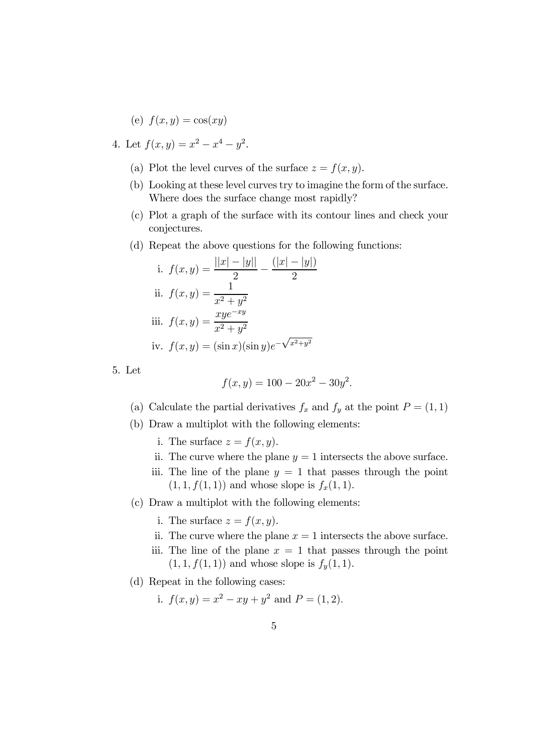$$
(e) f(x, y) = \cos(xy)
$$

- 4. Let  $f(x, y) = x^2 x^4 y^2$ .
	- (a) Plot the level curves of the surface  $z = f(x, y)$ .
	- (b) Looking at these level curves try to imagine the form of the surface. Where does the surface change most rapidly?
	- (c) Plot a graph of the surface with its contour lines and check your conjectures.
	- (d) Repeat the above questions for the following functions:

i. 
$$
f(x, y) = \frac{||x| - |y||}{2} - \frac{(|x| - |y|)}{2}
$$
  
\nii.  $f(x, y) = \frac{1}{x^2 + y^2}$   
\niii.  $f(x, y) = \frac{xye^{-xy}}{x^2 + y^2}$   
\niv.  $f(x, y) = (\sin x)(\sin y)e^{-\sqrt{x^2 + y^2}}$ 

5. Let

$$
f(x, y) = 100 - 20x^2 - 30y^2.
$$

- (a) Calculate the partial derivatives  $f_x$  and  $f_y$  at the point  $P = (1, 1)$
- (b) Draw a multiplot with the following elements:
	- i. The surface  $z = f(x, y)$ .
	- ii. The curve where the plane  $y = 1$  intersects the above surface.
	- iii. The line of the plane  $y = 1$  that passes through the point  $(1, 1, f(1, 1))$  and whose slope is  $f_x(1, 1)$ .
- (c) Draw a multiplot with the following elements:
	- i. The surface  $z = f(x, y)$ .
	- ii. The curve where the plane  $x = 1$  intersects the above surface.
	- iii. The line of the plane  $x = 1$  that passes through the point  $(1, 1, f(1, 1))$  and whose slope is  $f_y(1, 1)$ .
- (d) Repeat in the following cases:

i. 
$$
f(x, y) = x^2 - xy + y^2
$$
 and  $P = (1, 2)$ .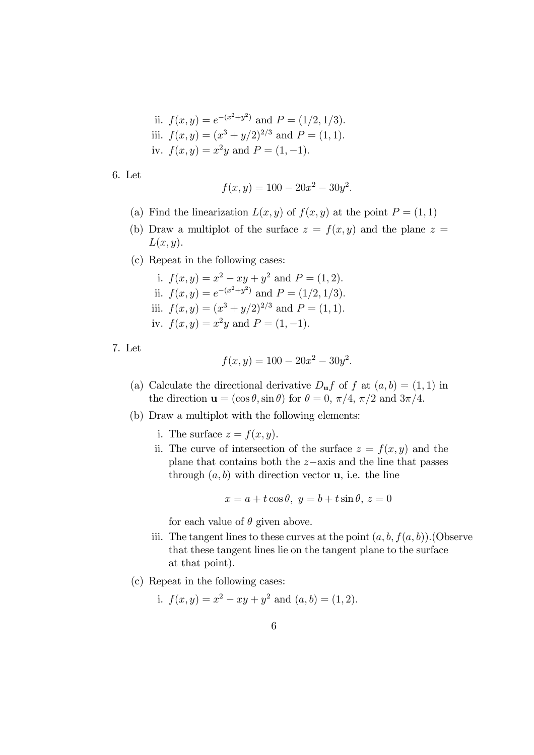ii. 
$$
f(x, y) = e^{-(x^2+y^2)}
$$
 and  $P = (1/2, 1/3)$ .  
iii.  $f(x, y) = (x^3 + y/2)^{2/3}$  and  $P = (1, 1)$ .  
iv.  $f(x, y) = x^2y$  and  $P = (1, -1)$ .

6. Let

$$
f(x, y) = 100 - 20x^2 - 30y^2.
$$

- (a) Find the linearization  $L(x, y)$  of  $f(x, y)$  at the point  $P = (1, 1)$
- (b) Draw a multiplot of the surface  $z = f(x, y)$  and the plane  $z =$  $L(x, y)$ .
- (c) Repeat in the following cases:
	- i.  $f(x, y) = x^2 xy + y^2$  and  $P = (1, 2)$ . ii.  $f(x,y) = e^{-(x^2+y^2)}$  and  $P = (1/2, 1/3)$ . iii.  $f(x, y) = (x^3 + y/2)^{2/3}$  and  $P = (1, 1)$ . iv.  $f(x, y) = x^2y$  and  $P = (1, -1)$ .
- 7. Let

$$
f(x, y) = 100 - 20x^2 - 30y^2.
$$

- (a) Calculate the directional derivative  $D_{\mathbf{u}}f$  of f at  $(a, b) = (1, 1)$  in the direction  $\mathbf{u} = (\cos \theta, \sin \theta)$  for  $\theta = 0, \pi/4, \pi/2$  and  $3\pi/4$ .
- (b) Draw a multiplot with the following elements:
	- i. The surface  $z = f(x, y)$ .
	- ii. The curve of intersection of the surface  $z = f(x, y)$  and the plane that contains both the z−axis and the line that passes through  $(a, b)$  with direction vector **u**, i.e. the line

$$
x = a + t \cos \theta, \ y = b + t \sin \theta, \ z = 0
$$

for each value of  $\theta$  given above.

- iii. The tangent lines to these curves at the point  $(a, b, f(a, b))$ . (Observe that these tangent lines lie on the tangent plane to the surface at that point).
- (c) Repeat in the following cases:

i. 
$$
f(x,y) = x^2 - xy + y^2
$$
 and  $(a, b) = (1, 2)$ .